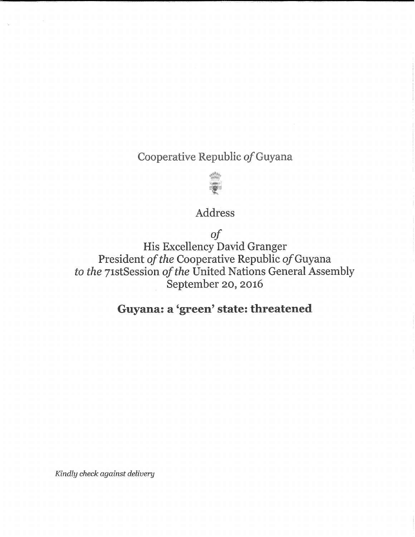Cooperative Republic of Guyana



## Address

of

His Excellency David Granger President of the Cooperative Republic of Guyana to the 71stSession of the United Nations General Assembly September 20, 2016

## Guyana: a 'green' state: threatened

Kindly check against delivery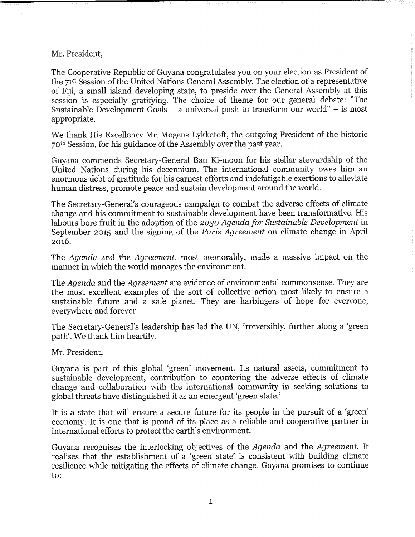Mr. President,

The Cooperative Republic of Guyana congratulates you on your election as President of the 71st Session of the United Nations General Assembly. The election of a representative of Fiji, a small island developing state, to preside over the General Assembly at this session is especially gratifying. The choice of theme for our general debate: "The Sustainable Development Goals  $-$  a universal push to transform our world"  $-$  is most appropriate.

We thank His Excellency Mr. Mogens Lykketoft, the outgoing President of the historic 70th Session, for his guidance of the Assembly over the past year.

Guyana commends Secretary-General Ban Ki-moon for his stellar stewardship of the United Nations during his deeennium. The international community owes him an enormous debt of gratitude for his earnest efforts and indefatigable exertions to alleviate human distress, promote peace and sustain development around the world.

The Secretary-General's courageous campaign to combat the adverse effects of climate change and his commitment to sustainable development have been transformative. His labours bore fruit in the adoption of the 2030 Agenda for Sustainable Development in September 2015 and the signing of the *Paris Agreement* on climate change in April 2o16.

The Agenda and the Agreement, most memorably, made a massive impact on the manner in which the world manages the environment.

The *Agenda* and the *Agreement* are evidence of environmental commonsense. They are the most excellent examples of the sort of collective action most likely to ensure a sustainable future and a safe planet. They are harbingers of hope for everyone, everywhere and forever.

The Secretary-General's leadership has led the UN, irreversibly, further along a 'green path'. We thank him heartily.

Mr. President,

Guyana is part of this global 'green' movement. Its natural assets, commitment to sustainable development, contribution to countering the adverse effects of climate change and collaboration with the international community in seeking solutions to global threats have distinguished it as an emergent 'green state.'

It is a state that will ensure a secure future for its people in the pursuit of a 'green' economy. It is one that is proud of its place as a reliable and cooperative partner in international efforts to protect the earth's environment.

Guyana recognises the interlocking objectives of the Agenda and the Agreement. It realises that the establishment of a 'green state' is consistent with building climate resilience while mitigating the effects of climate change. Guyana promises to continue to: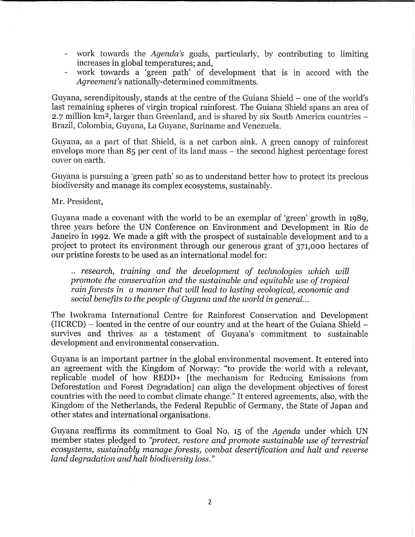- work towards the Agenda's goals, particularly, by contributing to limiting increases in global temperatures; and,
- work towards a 'green path' of development that is in accord with the Agreement's nationally-determined commitments,

Guyana, serendipitously, stands at the centre of the Guiana Shield - one of the world's last remaining spheres of virgin tropical rainforest. The Guiana Shield spans an area of 2.7 million km<sup>2</sup>, larger than Greenland, and is shared by six South America countries -Brazil, Colombia, Guyana, La Guyane, Suriname and Venezuela.

Guyana, as a part of that Shield, is a net carbon sink. A green canopy of rainforest envelops more than  $85$  per cent of its land mass  $-$  the second highest percentage forest cover on earth.

Guyana is pursuing a 'green path' so as to understand better how to protect its precious biodiversity and manage its complex ecosystems, sustainably.

Mr. President,

Guyana made a covenant with the world to be an exemplar of 'green' growth in 1989, three years before the UN Conference on Environment and Development in Rio de Janeiro in 1992. We made a gift with the prospect of sustainable development and to a project to protect its environment through our generous grant of 371,ooo hectares of our pristine forests to be used as an international model for:

.. research, training and the development of technologies which will promote the conservation and the sustainable and equitable use of tropical rain forests in a manner that will lead to lasting ecological, economic and social benefits to the people of Guyana and the world in general...

The Iwokrama International Centre for Rainforest Conservation and Development  $(HCRCD)$  – located in the centre of our country and at the heart of the Guiana Shield – survives and thrives as a testament of Guyana's commitment to sustainable development and environmental conservation.

Guyana is an important partner in the global environmental movement. It entered into an agreement with the Kingdom of Norway: "to provide the world with a relevant, replieable model of how REDD+ [the mechanism for Reducing Emissions from Deforestation and Forest Degradation] can align the development objectives of forest countries with the need to combat climate change." It entered agreements, also, with the Kingdom of the Netherlands, the Federal Republic of Germany, the State of Japan and other states and international organisations.

Guyana reaffirms its commitment to Goal No. 15 of the Agenda under which UN member states pledged to "protect, restore and promote sustainable use of terrestrial ecosgstems, sustainablg manage forests, combat desertification and halt and reverse land degradation and halt biodiversity loss."

 $\bar{\bar{z}}$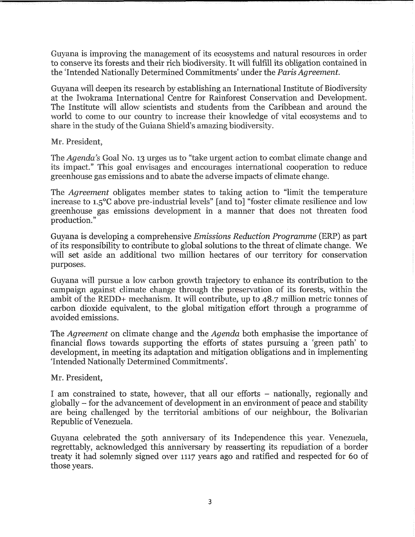Guyana is improving the management of its ecosystems and natural resources in order to conserve its forests and their rich biodiversity. It will fulfill its obligation contained in the 'Intended Nationally Determined Commitments' under the Paris Agreement.

Guyana will deepen its research by establishing an International Institute of Biodiversity at the Iwokrama International Centre for Rainforest Conservation and Development. The Institute will allow scientists and students from the Caribbean and around the world to come to our country to increase their knowledge of vital ecosystems and to share in the study of the Guiana Shield's amazing biodiversity.

Mr. President,

The Agenda's Goal No. 13 urges us to "take urgent action to combat climate change and its impact." This goal envisages and encourages international cooperation to reduce greenhouse gas emissions and to abate the adverse impacts of climate change.

The Agreement obligates member states to taking action to "limit the temperature increase to 1.5°C above pre-industrial levels" [and to] "foster climate resilience and low greenhouse gas emissions development in a manner that does not threaten food production."

Guyana is developing a comprehensive Emissions Reduction Programme (ERP) as part of its responsibility to contribute to global solutions to the threat of climate change. We will set aside an additional two million hectares of our territory for conservation purposes.

Guyana will pursue a low carbon growth trajectory to enhance its contribution to the campaign against climate change through the preservation of its forests, within the ambit of the REDD+ mechanism. It will contribute, up to 48.7 million metric tonnes of carbon dioxide equivalent, to the global mitigation effort through a programme of avoided emissions.

The *Agreement* on climate change and the *Agenda* both emphasise the importance of financial flows towards supporting the efforts of states pursuing a 'green path' to development, in meeting its adaptation and mitigation obligations and in implementing 'Intended Nationally Determined Commitments'.

Mr. President,

I am constrained to state, however, that all our efforts – nationally, regionally and globally - for the advancement of development in an environment of peace and stability are being challenged by the territorial ambitions of our neighbour, the Bolivarian Republic of Venezuela.

Guyana celebrated the 5oth anniversary of its Independence this year. Venezuela, regrettably, acknowledged this anniversary by reasserting its repudiation of a border treaty it had solemnly signed over 1117 years ago and ratified and respected for 6o of those years.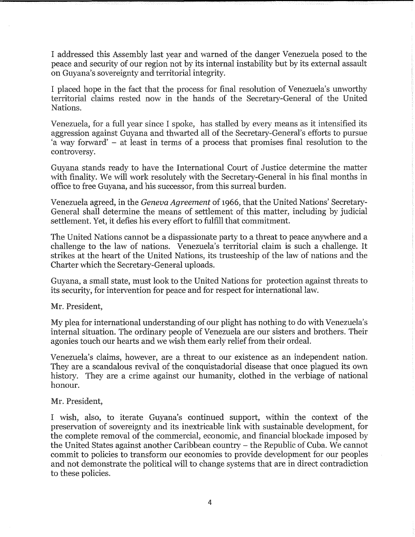I addressed this Assembly last year and warned of the danger Venezuela posed to the peace and security of our region not by its internal instability but by its external assault on Guyana's sovereignty and territorial integrity,

I placed hope in the fact that the process for final resolution of Venezuela's unworthy territorial claims rested now in the hands of the Secretary-General of the United Nations.

Venezuela, for a full year since I spoke, has stalled by every means as it intensified its aggression against Guyana and thwarted all of the Secretary-General's efforts to pursue a way forward' - at least in terms of a process that promises final resolution to the controversy.

Guyana stands ready to have the International Court of Justice determine the matter with finality. We will work resolutely with the Secretary-General in his final months in office to free Guyana, and his successor, from this surreal burden.

Venezuela agreed, in the Geneva Agreement of 1966, that the United Nations' Secretary-General shall determine the means of settlement of this matter, including by judicial settlement. Yet, it defies his every effort to fulfill that commitment.

The United Nations cannot be a dispassionate party to a threat to peace anywhere and a challenge to the law of nations. Venezuela's territorial claim is such a challenge. It strikes at the heart of the United Nations, its trusteeship of the law of nations and the Charter which the Secretary-General uploads.

Guyana, a small state, must look to the United Nations for protection against threats to its security, for intervention for peace and for respect for international law.

Mr. President,

My plea for international understanding of our plight has nothing to do with Venezuela's internal situation. The ordinary people of Venezuela are our sisters and brothers. Their agonies touch our hearts and we wish them early relief from their ordeal.

Venezuela's claims, however, are a threat to our existence as an independent nation. They are a scandalous revival of the eonquistadorial disease that once plagued its own history. They are a crime against our humanity, clothed in the verbiage of national honour.

## Mr. President,

I wish, also, to iterate Guyana's continued support, within the context of the preservation of sovereignty and its inextricable link with sustainable development, for the complete removal of the commercial, economic, and financial blockade imposed by the United States against another Caribbean country - the Republic of Cuba. We cannot commit to policies to transform our economies to provide development for our peoples and not demonstrate the political will to change systems that are in direct contradiction to these policies.